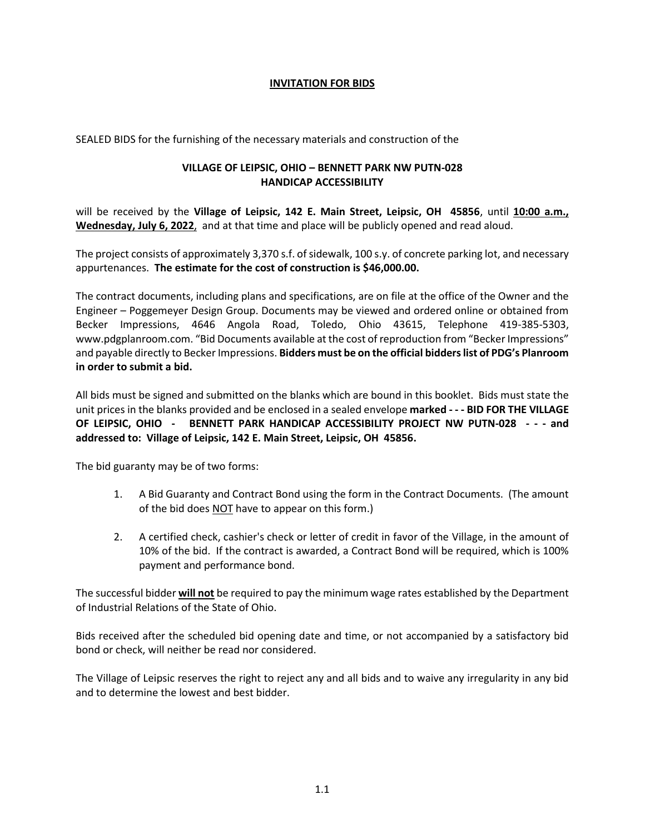## **INVITATION FOR BIDS**

SEALED BIDS for the furnishing of the necessary materials and construction of the

## **VILLAGE OF LEIPSIC, OHIO – BENNETT PARK NW PUTN-028 HANDICAP ACCESSIBILITY**

will be received by the **Village of Leipsic, 142 E. Main Street, Leipsic, OH 45856**, until **10:00 a.m., Wednesday, July 6, 2022**, and at that time and place will be publicly opened and read aloud.

The project consists of approximately 3,370 s.f. of sidewalk, 100 s.y. of concrete parking lot, and necessary appurtenances. **The estimate for the cost of construction is \$46,000.00.**

The contract documents, including plans and specifications, are on file at the office of the Owner and the Engineer – Poggemeyer Design Group. Documents may be viewed and ordered online or obtained from Becker Impressions, 4646 Angola Road, Toledo, Ohio 43615, Telephone 419-385-5303, www.pdgplanroom.com. "Bid Documents available at the cost of reproduction from "Becker Impressions" and payable directly to Becker Impressions. **Bidders must be on the official bidders list of PDG's Planroom in order to submit a bid.**

All bids must be signed and submitted on the blanks which are bound in this booklet. Bids must state the unit prices in the blanks provided and be enclosed in a sealed envelope **marked - - - BID FOR THE VILLAGE OF LEIPSIC, OHIO - BENNETT PARK HANDICAP ACCESSIBILITY PROJECT NW PUTN-028 - - - and addressed to: Village of Leipsic, 142 E. Main Street, Leipsic, OH 45856.**

The bid guaranty may be of two forms:

- 1. A Bid Guaranty and Contract Bond using the form in the Contract Documents. (The amount of the bid does NOT have to appear on this form.)
- 2. A certified check, cashier's check or letter of credit in favor of the Village, in the amount of 10% of the bid. If the contract is awarded, a Contract Bond will be required, which is 100% payment and performance bond.

The successful bidder **will not** be required to pay the minimum wage rates established by the Department of Industrial Relations of the State of Ohio.

Bids received after the scheduled bid opening date and time, or not accompanied by a satisfactory bid bond or check, will neither be read nor considered.

The Village of Leipsic reserves the right to reject any and all bids and to waive any irregularity in any bid and to determine the lowest and best bidder.